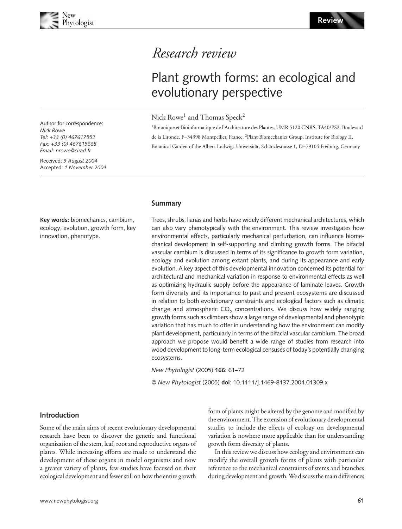# Blackwell Publishing, Ltd. *Research review*

# Plant growth forms: an ecological and evolutionary perspective

# Nick Rowe<sup>1</sup> and Thomas Speck<sup>2</sup>

<sup>1</sup>Botanique et Bioinformatique de l'Architecture des Plantes, UMR 5120 CNRS, TA40/PS2, Boulevard de la Lironde, F−34398 Montpellier, France; <sup>2</sup> Plant Biomechanics Group, Institute for Biology II, Botanical Garden of the Albert-Ludwigs-Universität, Schänzlestrasse 1, D−79104 Freiburg, Germany

**Summary**

Trees, shrubs, lianas and herbs have widely different mechanical architectures, which can also vary phenotypically with the environment. This review investigates how environmental effects, particularly mechanical perturbation, can influence biomechanical development in self-supporting and climbing growth forms. The bifacial vascular cambium is discussed in terms of its significance to growth form variation, ecology and evolution among extant plants, and during its appearance and early evolution. A key aspect of this developmental innovation concerned its potential for architectural and mechanical variation in response to environmental effects as well as optimizing hydraulic supply before the appearance of laminate leaves. Growth form diversity and its importance to past and present ecosystems are discussed in relation to both evolutionary constraints and ecological factors such as climatic change and atmospheric  $CO<sub>2</sub>$  concentrations. We discuss how widely ranging growth forms such as climbers show a large range of developmental and phenotypic variation that has much to offer in understanding how the environment can modify plant development, particularly in terms of the bifacial vascular cambium. The broad approach we propose would benefit a wide range of studies from research into wood development to long-term ecological censuses of today's potentially changing ecosystems.

*New Phytologist* (2005) **166**: 61–72

© *New Phytologist* (2005) **doi**: 10.1111/j.1469-8137.2004.01309.x

#### **Introduction**

Some of the main aims of recent evolutionary developmental research have been to discover the genetic and functional organization of the stem, leaf, root and reproductive organs of plants. While increasing efforts are made to understand the development of these organs in model organisms and now a greater variety of plants, few studies have focused on their ecological development and fewer still on how the entire growth form of plants might be altered by the genome and modified by the environment. The extension of evolutionary developmental studies to include the effects of ecology on developmental variation is nowhere more applicable than for understanding growth form diversity of plants.

In this review we discuss how ecology and environment can modify the overall growth forms of plants with particular reference to the mechanical constraints of stems and branches during development and growth. We discuss the main differences

Author for correspondence: *Nick Rowe Tel: +33 (0) 467617553 Fax: +33 (0) 467615668 Email: nrowe@cirad.fr*

Received: *9 August 2004* Accepted: *1 November 2004*

**Key words:** biomechanics, cambium, ecology, evolution, growth form, key innovation, phenotype.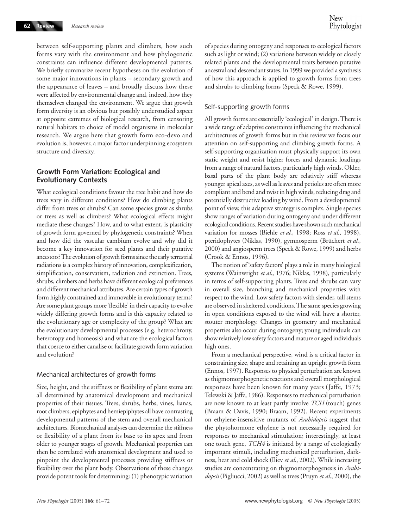between self-supporting plants and climbers, how such forms vary with the environment and how phylogenetic constraints can influence different developmental patterns. We briefly summarize recent hypotheses on the evolution of some major innovations in plants – secondary growth and the appearance of leaves – and broadly discuss how these were affected by environmental change and, indeed, how they themselves changed the environment. We argue that growth form diversity is an obvious but possibly understudied aspect at opposite extremes of biological research, from censoring natural habitats to choice of model organisms in molecular research. We argue here that growth form eco-devo and evolution is, however, a major factor underpinning ecosystem structure and diversity.

## **Growth Form Variation: Ecological and Evolutionary Contexts**

What ecological conditions favour the tree habit and how do trees vary in different conditions? How do climbing plants differ from trees or shrubs? Can some species grow as shrubs or trees as well as climbers? What ecological effects might mediate these changes? How, and to what extent, is plasticity of growth form governed by phylogenetic constraints? When and how did the vascular cambium evolve and why did it become a key innovation for seed plants and their putative ancestors? The evolution of growth forms since the early terrestrial radiations is a complex history of innovation, complexification, simplification, conservatism, radiation and extinction. Trees, shrubs, climbers and herbs have different ecological preferences and different mechanical attributes. Are certain types of growth form highly constrained and immovable in evolutionary terms? Are some plant groups more 'flexible' in their capacity to evolve widely differing growth forms and is this capacity related to the evolutionary age or complexity of the group? What are the evolutionary developmental processes (e.g. heterochrony, heterotopy and homeosis) and what are the ecological factors that coerce to either canalise or facilitate growth form variation and evolution?

#### Mechanical architectures of growth forms

Size, height, and the stiffness or flexibility of plant stems are all determined by anatomical development and mechanical properties of their tissues. Trees, shrubs, herbs, vines, lianas, root climbers, epiphytes and hemiepiphytes all have contrasting developmental patterns of the stem and overall mechanical architectures. Biomechanical analyses can determine the stiffness or flexibility of a plant from its base to its apex and from older to younger stages of growth. Mechanical properties can then be correlated with anatomical development and used to pinpoint the developmental processes providing stiffness or flexibility over the plant body. Observations of these changes provide potent tools for determining: (1) phenotypic variation

of species during ontogeny and responses to ecological factors such as light or wind; (2) variations between widely or closely related plants and the developmental traits between putative ancestral and descendant states. In 1999 we provided a synthesis of how this approach is applied to growth forms from trees and shrubs to climbing forms (Speck & Rowe, 1999).

#### Self-supporting growth forms

All growth forms are essentially 'ecological' in design. There is a wide range of adaptive constraints influencing the mechanical architectures of growth forms but in this review we focus our attention on self-supporting and climbing growth forms. A self-supporting organization must physically support its own static weight and resist higher forces and dynamic loadings from a range of natural factors, particularly high winds. Older, basal parts of the plant body are relatively stiff whereas younger apical axes, as well as leaves and petioles are often more compliant and bend and twist in high winds, reducing drag and potentially destructive loading by wind. From a developmental point of view, this adaptive strategy is complex. Single species show ranges of variation during ontogeny and under different ecological conditions. Recent studies have shown such mechanical variation for mosses (Biehle *et al*., 1998; Ross *et al*., 1998), pteridophytes (Niklas, 1990), gymnosperm (Brüchert *et al*., 2000) and angiosperm trees (Speck & Rowe, 1999) and herbs (Crook & Ennos, 1996).

The notion of 'safety factors' plays a role in many biological systems (Wainwright *et al*., 1976; Niklas, 1998), particularly in terms of self-supporting plants. Trees and shrubs can vary in overall size, branching and mechanical properties with respect to the wind. Low safety factors with slender, tall stems are observed in sheltered conditions. The same species growing in open conditions exposed to the wind will have a shorter, stouter morphology. Changes in geometry and mechanical properties also occur during ontogeny; young individuals can show relatively low safety factors and mature or aged individuals high ones.

From a mechanical perspective, wind is a critical factor in constraining size, shape and retaining an upright growth form (Ennos, 1997). Responses to physical perturbation are known as thigmomorphogenetic reactions and overall morphological responses have been known for many years (Jaffe, 1973; Telewski & Jaffe, 1986). Responses to mechanical perturbation are now known to at least partly involve *TCH* (touch) genes (Braam & Davis, 1990; Braam, 1992). Recent experiments on ethylene-insensitive mutants of *Arabidopsis* suggest that the phytohormone ethylene is not necessarily required for responses to mechanical stimulation; interestingly, at least one touch gene, *TCH4* is initiated by a range of ecologically important stimuli, including mechanical perturbation, darkness, heat and cold shock (Iliev *et al*., 2002). While increasing studies are concentrating on thigmomorphogenesis in *Arabidopsis* (Pigliucci, 2002) as well as trees (Pruyn *et al*., 2000), the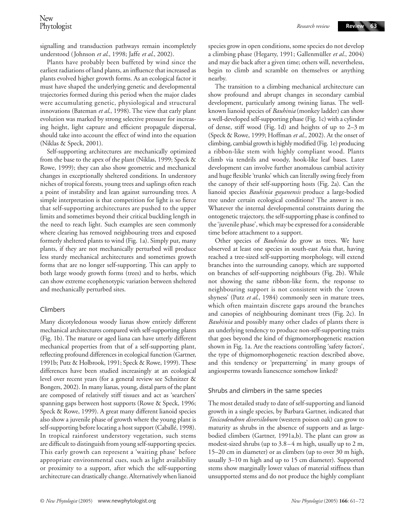**Review 63**

signalling and transduction pathways remain incompletely understood (Johnson *et al*., 1998; Jaffe *et al*., 2002).

Plants have probably been buffeted by wind since the earliest radiations of land plants, an influence that increased as plants evolved higher growth forms. As an ecological factor it must have shaped the underlying genetic and developmental trajectories formed during this period when the major clades were accumulating genetic, physiological and structural innovations (Bateman *et al*., 1998). The view that early plant evolution was marked by strong selective pressure for increasing height, light capture and efficient propagule dispersal, should take into account the effect of wind into the equation (Niklas & Speck, 2001).

Self-supporting architectures are mechanically optimized from the base to the apex of the plant (Niklas, 1999; Speck & Rowe, 1999); they can also show geometric and mechanical changes in exceptionally sheltered conditions. In understory niches of tropical forests, young trees and saplings often reach a point of instability and lean against surrounding trees. A simple interpretation is that competition for light is so fierce that self-supporting architectures are pushed to the upper limits and sometimes beyond their critical buckling length in the need to reach light. Such examples are seen commonly where clearing has removed neighbouring trees and exposed formerly sheltered plants to wind (Fig. 1a). Simply put, many plants, if they are not mechanically perturbed will produce less sturdy mechanical architectures and sometimes growth forms that are no longer self-supporting. This can apply to both large woody growth forms (trees) and to herbs, which can show extreme ecophenotypic variation between sheltered and mechanically perturbed sites.

#### Climbers

Many dicotyledonous woody lianas show entirely different mechanical architectures compared with self-supporting plants (Fig. 1b). The mature or aged liana can have utterly different mechanical properties from that of a self-supporting plant, reflecting profound differences in ecological function (Gartner, 1991b; Putz & Holbrook, 1991; Speck & Rowe, 1999). These differences have been studied increasingly at an ecological level over recent years (for a general review see Schnitzer & Bongers, 2002). In many lianas, young, distal parts of the plant are composed of relatively stiff tissues and act as 'searchers' spanning gaps between host supports (Rowe & Speck, 1996; Speck & Rowe, 1999). A great many different lianoid species also show a juvenile phase of growth where the young plant is self-supporting before locating a host support (Caballé, 1998). In tropical rainforest understory vegetation, such stems are difficult to distinguish from young self-supporting species. This early growth can represent a 'waiting phase' before appropriate environmental cues, such as light availability or proximity to a support, after which the self-supporting architecture can drastically change. Alternatively when lianoid species grow in open conditions, some species do not develop a climbing phase (Hegarty, 1991; Gallenmüller *et al*., 2004) and may die back after a given time; others will, nevertheless, begin to climb and scramble on themselves or anything nearby.

The transition to a climbing mechanical architecture can show profound and abrupt changes in secondary cambial development, particularly among twining lianas. The wellknown lianoid species of *Bauhinia* (monkey ladder) can show a well-developed self-supporting phase (Fig. 1c) with a cylinder of dense, stiff wood (Fig. 1d) and heights of up to 2–3 m (Speck & Rowe, 1999; Hoffman *et al*., 2002). At the onset of climbing, cambial growth is highly modified (Fig. 1e) producing a ribbon-like stem with highly compliant wood. Plants climb via tendrils and woody, hook-like leaf bases. Later development can involve further anomalous cambial activity and huge flexible 'trunks' which can literally swing freely from the canopy of their self-supporting hosts (Fig. 2a). Can the lianoid species *Bauhinia guyanensis* produce a large-bodied tree under certain ecological conditions? The answer is no. Whatever the internal developmental constraints during the ontogenetic trajectory, the self-supporting phase is confined to the 'juvenile phase', which may be expressed for a considerable time before attachment to a support.

Other species of *Bauhinia* do grow as trees. We have observed at least one species in south-east Asia that, having reached a tree-sized self-supporting morphology, will extend branches into the surrounding canopy, which are supported on branches of self-supporting neighbours (Fig. 2b). While not showing the same ribbon-like form, the response to neighbouring support is not consistent with the 'crown shyness' (Putz *et al*., 1984) commonly seen in mature trees, which often maintain discrete gaps around the branches and canopies of neighbouring dominant trees (Fig. 2c). In *Bauhinia* and possibly many other clades of plants there is an underlying tendency to produce non-self-supporting traits that goes beyond the kind of thigmomorphogenetic reaction shown in Fig. 1a. Are the reactions controlling 'safety factors', the type of thigmomorphogenetic reaction described above, and this tendency or 'prepatterning' in many groups of angiosperms towards lianescence somehow linked?

#### Shrubs and climbers in the same species

The most detailed study to date of self-supporting and lianoid growth in a single species, by Barbara Gartner, indicated that *Toxicodendron diversilobum* (western poison oak) can grow to maturity as shrubs in the absence of supports and as largebodied climbers (Gartner, 1991a,b). The plant can grow as modest-sized shrubs (up to 3.8–4 m high, usually up to 2 m, 15–20 cm in diameter) or as climbers (up to over 30 m high, usually 3–10 m high and up to 15 cm diameter). Supported stems show marginally lower values of material stiffness than unsupported stems and do not produce the highly compliant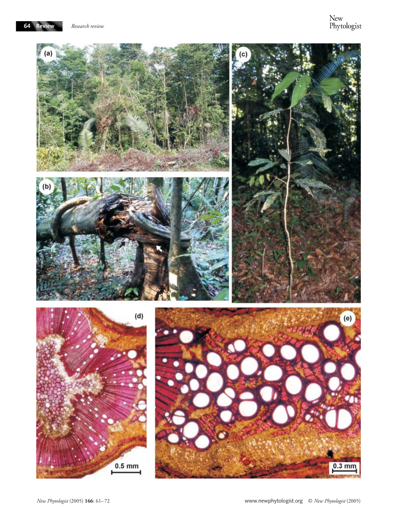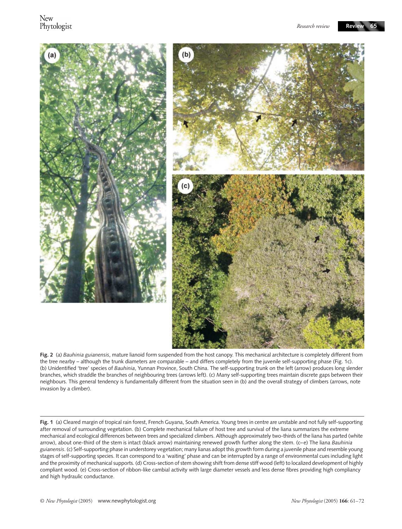

**Fig. 2** (a) *Bauhinia guianensis*, mature lianoid form suspended from the host canopy. This mechanical architecture is completely different from the tree nearby – although the trunk diameters are comparable – and differs completely from the juvenile self-supporting phase (Fig. 1c). (b) Unidentified 'tree' species of *Bauhinia*, Yunnan Province, South China. The self-supporting trunk on the left (arrow) produces long slender branches, which straddle the branches of neighbouring trees (arrows left). (c) Many self-supporting trees maintain discrete gaps between their neighbours. This general tendency is fundamentally different from the situation seen in (b) and the overall strategy of climbers (arrows, note invasion by a climber).

**Fig. 1** (a) Cleared margin of tropical rain forest, French Guyana, South America. Young trees in centre are unstable and not fully self-supporting after removal of surrounding vegetation. (b) Complete mechanical failure of host tree and survival of the liana summarizes the extreme mechanical and ecological differences between trees and specialized climbers. Although approximately two-thirds of the liana has parted (white arrow), about one-third of the stem is intact (black arrow) maintaining renewed growth further along the stem. (c–e) The liana *Bauhinia guianensis*. (c) Self-supporting phase in understorey vegetation; many lianas adopt this growth form during a juvenile phase and resemble young stages of self-supporting species. It can correspond to a 'waiting' phase and can be interrupted by a range of environmental cues including light and the proximity of mechanical supports. (d) Cross-section of stem showing shift from dense stiff wood (left) to localized development of highly compliant wood. (e) Cross-section of ribbon-like cambial activity with large diameter vessels and less dense fibres providing high compliancy and high hydraulic conductance.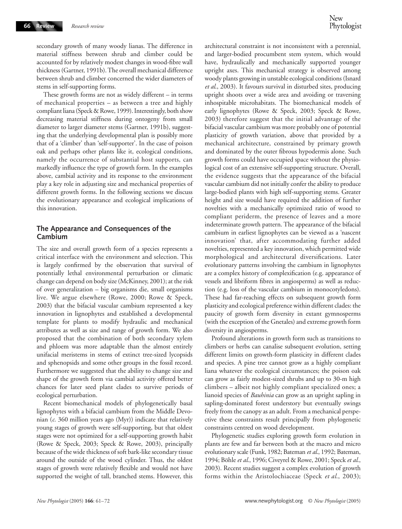secondary growth of many woody lianas. The difference in material stiffness between shrub and climber could be accounted for by relatively modest changes in wood-fibre wall thickness (Gartner, 1991b). The overall mechanical difference between shrub and climber concerned the wider diameters of stems in self-supporting forms.

These growth forms are not as widely different – in terms of mechanical properties – as between a tree and highly compliant liana (Speck & Rowe, 1999). Interestingly, both show decreasing material stiffness during ontogeny from small diameter to larger diameter stems (Gartner, 1991b), suggesting that the underlying developmental plan is possibly more that of a 'climber' than 'self-supporter'. In the case of poison oak and perhaps other plants like it, ecological conditions, namely the occurrence of substantial host supports, can markedly influence the type of growth form. In the examples above, cambial activity and its response to the environment play a key role in adjusting size and mechanical properties of different growth forms. In the following sections we discuss the evolutionary appearance and ecological implications of this innovation.

### **The Appearance and Consequences of the Cambium**

The size and overall growth form of a species represents a critical interface with the environment and selection. This is largely confirmed by the observation that survival of potentially lethal environmental perturbation or climatic change can depend on body size (McKinney, 2001); at the risk of over generalization – big organisms die, small organisms live. We argue elsewhere (Rowe, 2000; Rowe & Speck, 2003) that the bifacial vascular cambium represented a key innovation in lignophytes and established a developmental template for plants to modify hydraulic and mechanical attributes as well as size and range of growth form. We also proposed that the combination of both secondary xylem and phloem was more adaptable than the almost entirely unifacial meristems in stems of extinct tree-sized lycopsids and sphenopsids and some other groups in the fossil record. Furthermore we suggested that the ability to change size and shape of the growth form via cambial activity offered better chances for later seed plant clades to survive periods of ecological perturbation.

Recent biomechanical models of phylogenetically basal lignophytes with a bifacial cambium from the Middle Devonian (*c*. 360 million years ago (Myr)) indicate that relatively young stages of growth were self-supporting, but that oldest stages were not optimized for a self-supporting growth habit (Rowe & Speck, 2003; Speck & Rowe, 2003), principally because of the wide thickness of soft bark-like secondary tissue around the outside of the wood cylinder. Thus, the oldest stages of growth were relatively flexible and would not have supported the weight of tall, branched stems. However, this

architectural constraint is not inconsistent with a perennial, and larger-bodied procumbent stem system, which would have, hydraulically and mechanically supported younger upright axes. This mechanical strategy is observed among woody plants growing in unstable ecological conditions (Isnard *et al*., 2003). It favours survival in disturbed sites, producing upright shoots over a wide area and avoiding or traversing inhospitable microhabitats. The biomechanical models of early lignophytes (Rowe & Speck, 2003; Speck & Rowe, 2003) therefore suggest that the initial advantage of the bifacial vascular cambium was more probably one of potential plasticity of growth variation, above that provided by a mechanical architecture, constrained by primary growth and dominated by the outer fibrous hypodermis alone. Such growth forms could have occupied space without the physiological cost of an extensive self-supporting structure. Overall, the evidence suggests that the appearance of the bifacial vascular cambium did not initially confer the ability to produce large-bodied plants with high self-supporting stems. Greater height and size would have required the addition of further novelties with a mechanically optimized ratio of wood to compliant periderm, the presence of leaves and a more indeterminate growth pattern. The appearance of the bifacial cambium in earliest lignophytes can be viewed as a 'nascent innovation' that, after accommodating further added novelties, represented a key innovation, which permitted wide morphological and architectural diversifications. Later evolutionary patterns involving the cambium in lignophytes are a complex history of complexification (e.g. appearance of vessels and libriform fibres in angiosperms) as well as reduction (e.g. loss of the vascular cambium in monocotyledons). These had far-reaching effects on subsequent growth form plasticity and ecological preference within different clades: the paucity of growth form diversity in extant gymnosperms (with the exception of the Gnetales) and extreme growth form diversity in angiosperms.

Profound alterations in growth form such as transitions to climbers or herbs can canalise subsequent evolution, setting different limits on growth-form plasticity in different clades and species. A pine tree cannot grow as a highly compliant liana whatever the ecological circumstances; the poison oak can grow as fairly modest-sized shrubs and up to 30-m high climbers – albeit not highly compliant specialized ones; a lianoid species of *Bauhinia* can grow as an upright sapling in sapling-dominated forest understory but eventually swings freely from the canopy as an adult. From a mechanical perspective these constraints result principally from phylogenetic constraints centred on wood development.

Phylogenetic studies exploring growth form evolution in plants are few and far between both at the macro and micro evolutionary scale (Funk, 1982; Bateman *et al*., 1992; Bateman, 1994; Böhle *et al*., 1996; Civeyrel & Rowe, 2001; Speck *et al*., 2003). Recent studies suggest a complex evolution of growth forms within the Aristolochiaceae (Speck *et al*., 2003);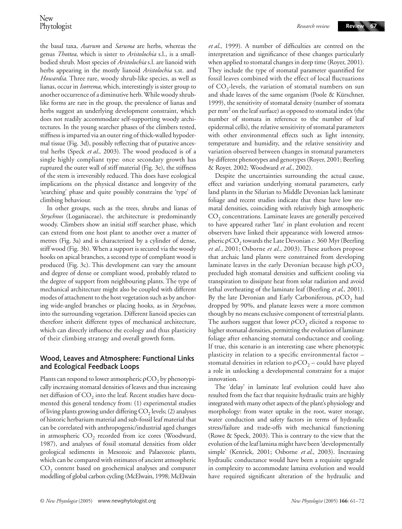the basal taxa, *Asarum* and *Saruma* are herbs, whereas the genus *Thottea*, which is sister to *Aristolochia* s.l., is a smallbodied shrub. Most species of *Aristolochia* s.l. are lianoid with herbs appearing in the mostly lianoid *Aristolochia* s.st. and *Howardia*. Three rare, woody shrub-like species, as well as lianas, occur in *Isotrema*, which, interestingly is sister group to another occurrence of a diminutive herb. While woody shrublike forms are rare in the group, the prevalence of lianas and herbs suggest an underlying development constraint, which does not readily accommodate self-supporting woody architectures. In the young searcher phases of the climbers tested, stiffness is imparted via an outer ring of thick-walled hypodermal tissue (Fig. 3d), possibly reflecting that of putative ancestral herbs (Speck *et al*., 2003). The wood produced is of a single highly compliant type: once secondary growth has ruptured the outer wall of stiff material (Fig. 3e), the stiffness of the stem is irreversibly reduced. This does have ecological implications on the physical distance and longevity of the 'searching' phase and quite possibly constrains the 'type' of climbing behaviour.

In other groups, such as the trees, shrubs and lianas of *Strychnos* (Loganiaceae), the architecture is predominantly woody. Climbers show an initial stiff searcher phase, which can extend from one host plant to another over a matter of metres (Fig. 3a) and is characterized by a cylinder of dense, stiff wood (Fig. 3b). When a support is secured via the woody hooks on apical branches, a second type of compliant wood is produced (Fig. 3c). This development can vary the amount and degree of dense or compliant wood, probably related to the degree of support from neighbouring plants. The type of mechanical architecture might also be coupled with different modes of attachment to the host vegetation such as by anchoring wide-angled branches or placing hooks, as in *Strychnos*, into the surrounding vegetation. Different lianoid species can therefore inherit different types of mechanical architecture, which can directly influence the ecology and thus plasticity of their climbing strategy and overall growth form.

### **Wood, Leaves and Atmosphere: Functional Links and Ecological Feedback Loops**

Plants can respond to lower atmospheric  $\rho$ CO<sub>2</sub> by phenotypically increasing stomatal densities of leaves and thus increasing net diffusion of  $CO<sub>2</sub>$  into the leaf. Recent studies have documented this general tendency from: (1) experimental studies of living plants growing under differing  $CO<sub>2</sub>$  levels; (2) analyses of historic herbarium material and sub-fossil leaf material that can be correlated with anthropogenic/industrial aged changes in atmospheric  $CO<sub>2</sub>$  recorded from ice cores (Woodward, 1987), and analyses of fossil stomatal densities from older geological sediments in Mesozoic and Palaeozoic plants, which can be compared with estimates of ancient atmospheric CO<sub>2</sub> content based on geochemical analyses and computer modelling of global carbon cycling (McElwain, 1998; McElwain

*et al*., 1999). A number of difficulties are centred on the interpretation and significance of these changes particularly when applied to stomatal changes in deep time (Royer, 2001). They include the type of stomatal parameter quantified for fossil leaves combined with the effect of local fluctuations of  $CO_2$ -levels, the variation of stomatal numbers on sun and shade leaves of the same organism (Poole & Kürschner, 1999), the sensitivity of stomatal density (number of stomata per  $mm<sup>2</sup>$  on the leaf surface) as opposed to stomatal index (the number of stomata in reference to the number of leaf epidermal cells), the relative sensitivity of stomatal parameters with other environmental effects such as light intensity, temperature and humidity, and the relative sensitivity and variation observed between changes in stomatal parameters by different phenotypes and genotypes (Royer, 2001; Beerling & Royer, 2002; Woodward *et al*., 2002).

Despite the uncertainties surrounding the actual cause, effect and variation underlying stomatal parameters, early land plants in the Silurian to Middle Devonian lack laminate foliage and recent studies indicate that these have low stomatal densities, coinciding with relatively high atmospheric CO<sub>2</sub> concentrations. Laminate leaves are generally perceived to have appeared rather 'late' in plant evolution and recent observers have linked their appearance with lowered atmospheric ρCO2 towards the Late Devonian *c*. 360 Myr (Beerling *et al*., 2001; Osborne *et al*., 2003). These authors propose that archaic land plants were constrained from developing laminate leaves in the early Devonian because high  $pCO<sub>2</sub>$ precluded high stomatal densities and sufficient cooling via transpiration to dissipate heat from solar radiation and avoid lethal overheating of the laminate leaf (Beerling *et al*., 2001). By the late Devonian and Early Carboniferous,  $\rho CO<sub>2</sub>$  had dropped by 90%, and planate leaves were a more common though by no means exclusive component of terrestrial plants. The authors suggest that lower  $\rho CO$ <sub>2</sub> elicited a response to higher stomatal densities, permitting the evolution of laminate foliage after enhancing stomatal conductance and cooling. If true, this scenario is an interesting case where phenotypic plasticity in relation to a specific environmental factor – stomatal densities in relation to  $pCO<sub>2</sub> -$  could have played a role in unlocking a developmental constraint for a major innovation.

The 'delay' in laminate leaf evolution could have also resulted from the fact that requisite hydraulic traits are highly integrated with many other aspects of the plant's physiology and morphology: from water uptake in the root, water storage, water conduction and safety factors in terms of hydraulic stress/failure and trade-offs with mechanical functioning (Rowe & Speck, 2003). This is contrary to the view that the evolution of the leaf lamina might have been 'developmentally simple' (Kenrick, 2001; Osborne *et al*., 2003). Increasing hydraulic conductance would have been a requisite upgrade in complexity to accommodate lamina evolution and would have required significant alteration of the hydraulic and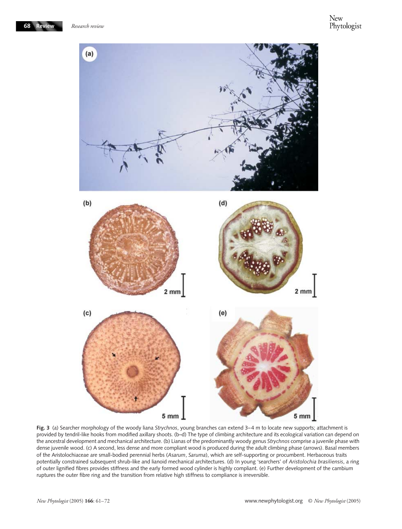

**Fig. 3** (a) Searcher morphology of the woody liana *Strychnos*, young branches can extend 3–4 m to locate new supports; attachment is provided by tendril-like hooks from modified axillary shoots. (b–d) The type of climbing architecture and its ecological variation can depend on the ancestral development and mechanical architecture. (b) Lianas of the predominantly woody genus *Strychnos* comprise a juvenile phase with dense juvenile wood. (c) A second, less dense and more compliant wood is produced during the adult climbing phase (arrows). Basal members of the Aristolochiaceae are small-bodied perennial herbs (*Asarum*, *Saruma*), which are self-supporting or procumbent. Herbaceous traits potentially constrained subsequent shrub-like and lianoid mechanical architectures. (d) In young 'searchers' of *Aristolochia brasiliensis*, a ring of outer lignified fibres provides stiffness and the early formed wood cylinder is highly compliant. (e) Further development of the cambium ruptures the outer fibre ring and the transition from relative high stiffness to compliance is irreversible.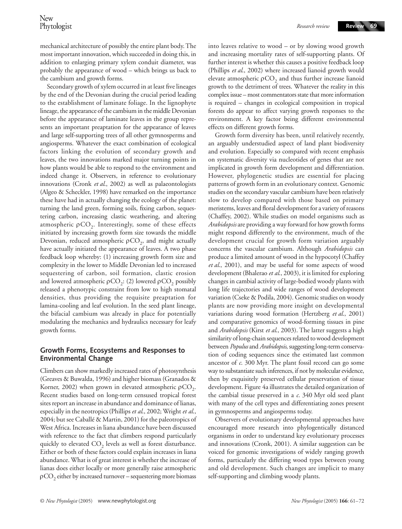mechanical architecture of possibly the entire plant body. The most important innovation, which succeeded in doing this, in addition to enlarging primary xylem conduit diameter, was probably the appearance of wood – which brings us back to the cambium and growth forms.

Secondary growth of xylem occurred in at least five lineages by the end of the Devonian during the crucial period leading to the establishment of laminate foliage. In the lignophyte lineage, the appearance of the cambium in the middle Devonian before the appearance of laminate leaves in the group represents an important preaptation for the appearance of leaves and large self-supporting trees of all other gymnosperms and angiosperms. Whatever the exact combination of ecological factors linking the evolution of secondary growth and leaves, the two innovations marked major turning points in how plants would be able to respond to the environment and indeed change it. Observers, in reference to evolutionary innovations (Cronk *et al*., 2002) as well as palaeontologists (Algeo & Scheckler, 1998) have remarked on the importance these have had in actually changing the ecology of the planet: turning the land green, forming soils, fixing carbon, sequestering carbon, increasing clastic weathering, and altering atmospheric  $pCO<sub>2</sub>$ . Interestingly, some of these effects initiated by increasing growth form size towards the middle Devonian, reduced atmospheric  $\rho CO_2$ , and might actually have actually initiated the appearance of leaves. A two phase feedback loop whereby: (1) increasing growth form size and complexity in the lower to Middle Devonian led to increased sequestering of carbon, soil formation, clastic erosion and lowered atmospheric  $\rho CO_2$ : (2) lowered  $\rho CO_2$  possibly released a phenotypic constraint from low to high stomatal densities, thus providing the requisite preaptation for lamina-cooling and leaf evolution. In the seed plant lineage, the bifacial cambium was already in place for potentially modulating the mechanics and hydraulics necessary for leafy growth forms.

# **Growth Forms, Ecosystems and Responses to Environmental Change**

Climbers can show markedly increased rates of photosynthesis (Greaves & Buwalda, 1996) and higher biomass (Granados & Korner, 2002) when grown in elevated atmospheric  $\rho CO_2$ . Recent studies based on long-term censused tropical forest sites report an increase in abundance and dominance of lianas, especially in the neotropics (Phillips *et al*., 2002; Wright *et al*., 2004; but see Caballé & Martin, 2001) for the paleotropics of West Africa. Increases in liana abundance have been discussed with reference to the fact that climbers respond particularly quickly to elevated CO<sub>2</sub> levels as well as forest disturbance. Either or both of these factors could explain increases in liana abundance. What is of great interest is whether the increase of lianas does either locally or more generally raise atmospheric  $pCO<sub>2</sub>$  either by increased turnover – sequestering more biomass

into leaves relative to wood – or by slowing wood growth and increasing mortality rates of self-supporting plants. Of further interest is whether this causes a positive feedback loop (Phillips *et al*., 2002) where increased lianoid growth would elevate atmospheric  $\rho CO$ , and thus further increase lianoid growth to the detriment of trees. Whatever the reality in this complex issue – most commentators state that more information is required – changes in ecological composition in tropical forests do appear to affect varying growth responses to the environment. A key factor being different environmental effects on different growth forms.

Growth form diversity has been, until relatively recently, an arguably understudied aspect of land plant biodiversity and evolution. Especially so compared with recent emphasis on systematic diversity via nucleotides of genes that are not implicated in growth form development and differentiation. However, phylogenetic studies are essential for placing patterns of growth form in an evolutionary context. Genomic studies on the secondary vascular cambium have been relatively slow to develop compared with those based on primary meristems, leaves and floral development for a variety of reasons (Chaffey, 2002). While studies on model organisms such as *Arabidopsis* are providing a way forward for how growth forms might respond differently to the environment, much of the development crucial for growth form variation arguably concerns the vascular cambium. Although *Arabidopsis* can produce a limited amount of wood in the hypocotyl (Chaffey *et al*., 2001), and may be useful for some aspects of wood development (Bhalerao *et al*., 2003), it is limited for exploring changes in cambial activity of large-bodied woody plants with long life trajectories and wide ranges of wood development variation (Cseke & Podila, 2004). Genomic studies on woody plants are now providing more insight on developmental variations during wood formation (Hertzberg *et al*., 2001) and comparative genomics of wood-forming tissues in pine and *Arabidopsis* (Kirst *et al*., 2003). The latter suggests a high similarity of long-chain sequences related to wood development between *Populus* and *Arabidopsis*, suggesting long-term conservation of coding sequences since the estimated last common ancestor of *c*. 300 Myr. The plant fossil record can go some way to substantiate such inferences, if not by molecular evidence, then by exquisitely preserved cellular preservation of tissue development. Figure 4a illustrates the detailed organization of the cambial tissue preserved in a *c*. 340 Myr old seed plant with many of the cell types and differentiating zones present in gymnosperms and angiosperms today.

Observers of evolutionary developmental approaches have encouraged more research into phylogentically distanced organisms in order to understand key evolutionary processes and innovations (Cronk, 2001). A similar suggestion can be voiced for genomic investigations of widely ranging growth forms, particularly the differing wood types between young and old development. Such changes are implicit to many self-supporting and climbing woody plants.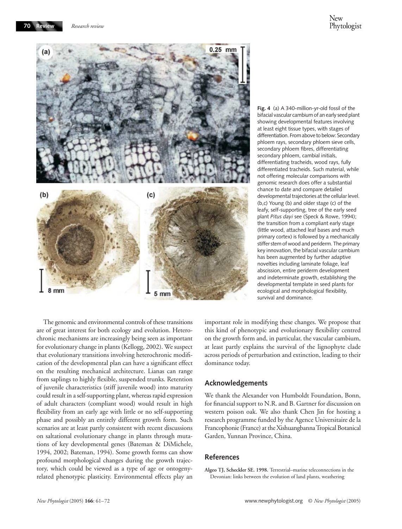

**Fig. 4** (a) A 340-million-yr-old fossil of the bifacial vascular cambium of an early seed plant showing developmental features involving at least eight tissue types, with stages of differentiation. From above to below: Secondary phloem rays, secondary phloem sieve cells, secondary phloem fibres, differentiating secondary phloem, cambial initials, differentiating tracheids, wood rays, fully differentiated tracheids. Such material, while not offering molecular comparisons with genomic research does offer a substantial chance to date and compare detailed developmental trajectories at the cellular level. (b,c) Young (b) and older stage (c) of the leafy, self-supporting, tree of the early seed plant *Pitus dayi* see (Speck & Rowe, 1994); the transition from a compliant early stage (little wood, attached leaf bases and much primary cortex) is followed by a mechanically stiffer stem of wood and periderm. The primary key innovation, the bifacial vascular cambium has been augmented by further adaptive novelties including laminate foliage, leaf abscission, entire periderm development and indeterminate growth, establishing the developmental template in seed plants for ecological and morphological flexibility, survival and dominance.

The genomic and environmental controls of these transitions are of great interest for both ecology and evolution. Heterochronic mechanisms are increasingly being seen as important for evolutionary change in plants (Kellogg, 2002). We suspect that evolutionary transitions involving heterochronic modification of the developmental plan can have a significant effect on the resulting mechanical architecture. Lianas can range from saplings to highly flexible, suspended trunks. Retention of juvenile characteristics (stiff juvenile wood) into maturity could result in a self-supporting plant, whereas rapid expression of adult characters (compliant wood) would result in high flexibility from an early age with little or no self-supporting phase and possibly an entirely different growth form. Such scenarios are at least partly consistent with recent discussions on saltational evolutionary change in plants through mutations of key developmental genes (Bateman & DiMichele, 1994, 2002; Bateman, 1994). Some growth forms can show profound morphological changes during the growth trajectory, which could be viewed as a type of age or ontogenyrelated phenotypic plasticity. Environmental effects play an

important role in modifying these changes. We propose that this kind of phenotypic and evolutionary flexibility centred on the growth form and, in particular, the vascular cambium, at least partly explains the survival of the lignophyte clade across periods of perturbation and extinction, leading to their dominance today.

#### **Acknowledgements**

We thank the Alexander von Humboldt Foundation, Bonn, for financial support to N.R. and B. Gartner for discussion on western poison oak. We also thank Chen Jin for hosting a research programme funded by the Agence Universitaire de la Francophonie (France) at the Xishuangbanna Tropical Botanical Garden, Yunnan Province, China.

#### **References**

**Algeo TJ, Scheckler SE. 1998.** Terrestrial–marine teleconnections in the Devonian: links between the evolution of land plants, weathering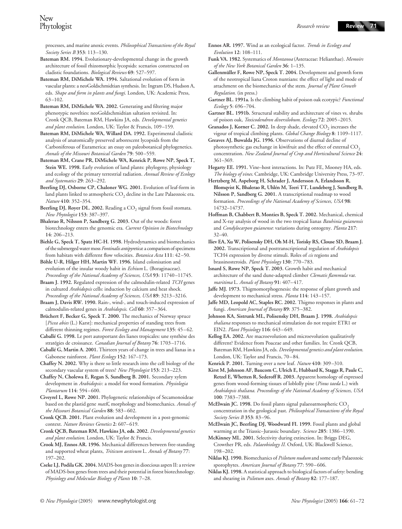processes, and marine anoxic events. *Philosophical Transactions of the Royal Society Series B* **353**: 113–130.

- **Bateman RM. 1994.** Evolutionary-developmental change in the growth architecture of fossil rhizomorphic lycopsids: scenarios constructed on cladistic foundations. *Biological Reviews* **69**: 527–597.
- **Bateman RM, DiMichele WA. 1994.** Saltational evolution of form in vascular plants: a neoGoldschmidtian synthesis. In: Ingram DS, Hudson A, eds. *Shape and form in plants and fungi*. London, UK: Academic Press, 63–102.
- **Bateman RM, DiMichele WA. 2002.** Generating and filtering major phenotypic novelties: neoGoldschmidtian saltation revisited. In: Cronk QCB, Bateman RM, Hawkins JA, eds. *Developmental genetics and plant evolution*. London, UK: Taylor & Francis, 109–159.
- **Bateman RM, DiMichele WA, Willard DA. 1992.** Experimental cladistic analysis of anatomically preserved arborescent lycopsids from the Carboniferous of Euramerica: an essay on paleobotanical phylogenetics. *Annals of the Missouri Botanical Garden* **79**: 500–559.
- **Bateman RM, Crane PR, DiMichele WA, Kenrick P, Rowe NP, Speck T, Stein WE. 1998.** Early evolution of land plants: phylogeny, physiology and ecology of the primary terrestrial radiation. *Annual Review of Ecology and Systematics* **29**: 263–292.
- **Beerling DJ, Osborne CP, Chaloner WG. 2001.** Evolution of leaf-form in land plants linked to atmospheric  $CO<sub>2</sub>$  decline in the Late Palaeozoic era. *Nature* **410**: 352–354.
- Beerling DJ, Royer DL. 2002. Reading a CO<sub>2</sub> signal from fossil stomata. *New Phytologist* **153**: 387–397.
- **Bhalerao R, Nilsson P, Sandberg G. 2003.** Out of the woods: forest biotechnology enters the genomic era. *Current Opinion in Biotechnology* **14**: 206–213.
- **Biehle G, Speck T, Spatz HC-H. 1998.** Hydrodynamics and biomechanics of the submerged water moss *Fontinalis antipyretica*: a comparison of specimens from habitats with different flow velocities. *Botanica Acta* **111**: 42–50.
- **Böhle U-R, Hilger HH, Martin WF. 1996.** Island colonisation and evolution of the insular woody habit in *Echium* L. (Boraginaceae). *Proceedings of the National Academy of Sciences, USA* **93**: 11740–11745.
- **Braam J. 1992.** Regulated expression of the calmodulin-related *TCH* genes in cultured *Arabidopsis* cells: induction by calcium and heat shock. *Proceedings of the National Academy of Sciences, USA* **89**: 3213–3216.
- **Braam J, Davis RW. 1990.** Rain-, wind-, and touch-induced expression of calmodulin-related genes in *Arabidopsis*. *Cell* **60**: 357–364.
- **Brüchert F, Becker G, Speck T. 2000.** The mechanics of Norway spruce [*Picea abies* (L.) Karst]: mechanical properties of standing trees from different thinning regimes. *Forest Ecology and Management* **135**: 45–62.
- **Caballé G. 1998.** Le port autoportant des lianes tropicales: une synthèse des stratégies de croissance. *Canadian Journal of Botany* **76**: 1703–1716.
- **Caballé G, Martin A. 2001.** Thirteen years of change in trees and lianas in a Gabonese rainforest. *Plant Ecology* **152**: 167–173.
- **Chaffey N. 2002.** Why is there so little research into the cell biology of the secondary vascular system of trees? *New Phytologist* **153**: 213–223.
- **Chaffey N, Cholewa E, Regan S, Sundberg B. 2001.** Secondary xylem development in *Arabidopsis*: a model for wood formation. *Physiologia Plantarum* **114**: 594–600.
- **Civeyrel L, Rowe NP. 2001.** Phylogenetic relationships of Secamonoideae based on the plastid gene *matK*, morphology and biomechanics. *Annals of the Missouri Botanical Garden* **88**: 583–602.
- **Cronk QCB. 2001.** Plant evolution and development in a post-genomic context. *Nature Reviews Genetics* **2**: 607–619.
- **Cronk QCB, Bateman RM, Hawkins JA**, **eds**. **2002.** *Developmental genetics and plant evolution*. London, UK: Taylor & Francis.
- **Crook MJ, Ennos AR. 1996.** Mechanical differences between free-standing and supported wheat plants, *Triticum aestivum* L. *Annals of Botany* **77**: 197–202.
- **Cseke LJ, Podila GK. 2004.** MADS-box genes in dioecious aspen II: a review of MADS-box genes from trees and their potential in forest biotechnology. *Physiology and Molecular Biology of Plants* **10**: 7–28.
- **Ennos AR. 1997.** Wind as an ecological factor. *Trends in Ecology and Evolution* **12**: 108–111.
- **Funk VA. 1982.** Systematics of *Montanoa* (Asteraceae: Helianthae). *Memoirs of the New York Botanical Garden* **36**: 1–135.
- **Gallenmüller F, Rowe NP, Speck T. 2004.** Development and growth form of the neotropical liana Croton nuntians: the effect of light and mode of attachment on the biomechanics of the stem. *Journal of Plant Growth Regulation.* (in press.)
- **Gartner BL. 1991a.** Is the climbing habit of poison oak ecotypic? *Functional Ecology* **5**: 696–704.
- **Gartner BL. 1991b.** Structural stability and architecture of vines vs. shrubs of poison oak, *Toxicodendron diversilobum*. *Ecology* **72**: 2005–2015.
- Granados J, Korner C. 2002. In deep shade, elevated CO<sub>2</sub> increases the vigour of tropical climbing plants. *Global Change Biology* **8**: 1109–1117.
- **Greaves AJ, Buwalda JG. 1996.** Observations of diurnal decline of photosynthetic gas exchange in kiwifruit and the effect of external CO<sub>2</sub> concentration. *New Zealand Journal of Crop and Horticultural Science* **24**: 361–369.
- **Hegarty EE. 1991.** Vine–host interactions. In: Putz FE, Mooney HA, eds. *The biology of vines*. Cambridge, UK: Cambridge University Press, 73–97.
- **Hertzberg M, Aspeborg H, Schrader J, Andersson A, Erlandsson R, Blomqvist K, Bhalerao R, Uhlén M, Teeri TT, Lundeberg J, Sundberg B, Nilsson P, Sandberg G. 2001.** A transcriptional roadmap to wood formation. *Proceedings of the National Academy of Sciences, USA* **98**: 14732–14737.
- **Hoffman B, Chabbert B, Monties B, Speck T. 2002.** Mechanical, chemical and X-ray analysis of wood in the two tropical lianas *Bauhinia guianensis* and *Condylocarpon guianense*: variations during ontogeny. *Planta* **217**: 32–40.
- **Iliev EA, Xu W, Polisensky DH, Oh M-H, Torisky RS, Clouse SD, Braam J. 2002.** Transcriptional and posttranscriptional regulation of *Arabidopsis* TCH4 expression by diverse stimuli. Roles of *cis* regions and brassinosteroids. *Plant Physiology* **130**: 770–783.
- **Isnard S, Rowe NP, Speck T. 2003.** Growth habit and mechanical architecture of the sand dune-adapted climber *Clematis flammula* var. *maritima* L. *Annals of Botany* **91**: 407–417.
- **Jaffe MJ. 1973.** Thigmomorphogenesis: the response of plant growth and development to mechanical stress. *Planta* **114**: 143–157.
- **Jaffe MD, Leopold AC, Staples RC. 2002.** Thigmo responses in plants and fungi. *American Journal of Botany* **89**: 375–382.
- **Johnson KA, Sistrunk ML, Polisensky DH, Braam J. 1998.** *Arabidopsis thaliana* responses to mechanical stimulation do not require ETR1 or EIN2. *Plant Physiology* **116**: 643–649.
- **Kellog EA. 2002.** Are macroevolution and microevolution qualitatively different? Evidence from Poaceae and other families. In: Cronk QCB, Bateman RM, Hawkins JA, eds. *Developmental genetics and plant evolution*. London, UK: Taylor and Francis, 70–84.
- **Kenrick P. 2001.** Turning over a new leaf. *Nature* **410**: 309–310.
- **Kirst M, Johnson AF, Baucom C, Ulrich E, Hubbard K, Staggs R, Paule C, Retzel E, Whetten R, Sederoff R. 2003.** Apparent homology of expressed genes from wood-forming tissues of loblolly pine (*Pinus taeda* L.) with *Arabidopsis thaliana*. *Proceedings of the National Academy of Sciences, USA* **100**: 7383–7388.
- **McElwain JC. 1998.** Do fossil plants signal palaeoatmospheric CO<sub>2</sub> concentration in the geological past. *Philosophical Transactions of the Royal Society Series B* **353**: 83–96.
- **McElwain JC, Beerling DJ, Woodward FI. 1999.** Fossil plants and global warming at the Triassic–Jurassic boundary. *Science* **285**: 1386–1390.
- **McKinney ML. 2001.** Selectivity during extinction. In: Briggs DEG, Crowther PR, eds. *Palaeobiology II*. Oxford, UK: Blackwell Science, 198–202.
- **Niklas KJ. 1990.** Biomechanics of *Psilotum nudum* and some early Palaeozoic sporophytes. *American Journal of Botany* **77**: 590–606.
- **Niklas KJ. 1998.** A statistical approach to biological factors of safety: bending and shearing in *Psilotum* axes. *Annals of Botany* **82**: 177–187.